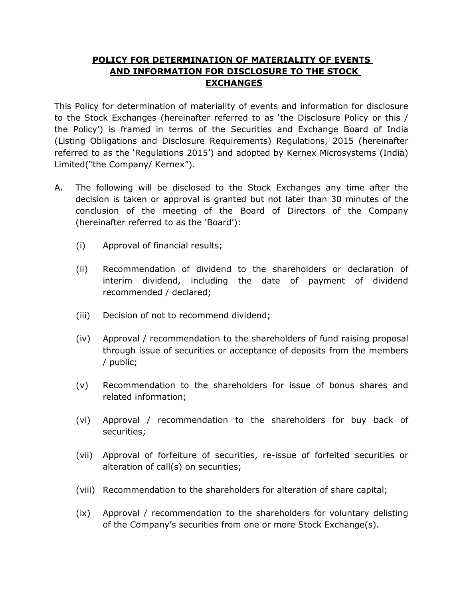## **POLICY FOR DETERMINATION OF MATERIALITY OF EVENTS AND INFORMATION FOR DISCLOSURE TO THE STOCK EXCHANGES**

This Policy for determination of materiality of events and information for disclosure to the Stock Exchanges (hereinafter referred to as 'the Disclosure Policy or this / the Policy') is framed in terms of the Securities and Exchange Board of India (Listing Obligations and Disclosure Requirements) Regulations, 2015 (hereinafter referred to as the 'Regulations 2015') and adopted by Kernex Microsystems (India) Limited("the Company/ Kernex").

- A. The following will be disclosed to the Stock Exchanges any time after the decision is taken or approval is granted but not later than 30 minutes of the conclusion of the meeting of the Board of Directors of the Company (hereinafter referred to as the 'Board'):
	- (i) Approval of financial results;
	- (ii) Recommendation of dividend to the shareholders or declaration of interim dividend, including the date of payment of dividend recommended / declared;
	- (iii) Decision of not to recommend dividend;
	- (iv) Approval / recommendation to the shareholders of fund raising proposal through issue of securities or acceptance of deposits from the members / public;
	- (v) Recommendation to the shareholders for issue of bonus shares and related information;
	- (vi) Approval / recommendation to the shareholders for buy back of securities;
	- (vii) Approval of forfeiture of securities, re-issue of forfeited securities or alteration of call(s) on securities;
	- (viii) Recommendation to the shareholders for alteration of share capital;
	- (ix) Approval / recommendation to the shareholders for voluntary delisting of the Company's securities from one or more Stock Exchange(s).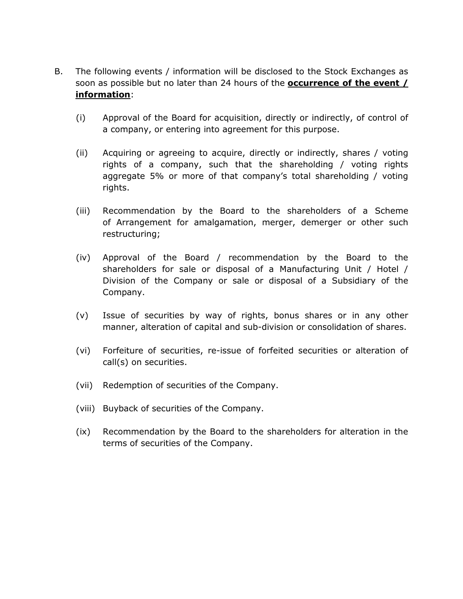- B. The following events / information will be disclosed to the Stock Exchanges as soon as possible but no later than 24 hours of the **occurrence of the event / information**:
	- (i) Approval of the Board for acquisition, directly or indirectly, of control of a company, or entering into agreement for this purpose.
	- (ii) Acquiring or agreeing to acquire, directly or indirectly, shares / voting rights of a company, such that the shareholding / voting rights aggregate 5% or more of that company's total shareholding / voting rights.
	- (iii) Recommendation by the Board to the shareholders of a Scheme of Arrangement for amalgamation, merger, demerger or other such restructuring;
	- (iv) Approval of the Board / recommendation by the Board to the shareholders for sale or disposal of a Manufacturing Unit / Hotel / Division of the Company or sale or disposal of a Subsidiary of the Company.
	- (v) Issue of securities by way of rights, bonus shares or in any other manner, alteration of capital and sub-division or consolidation of shares.
	- (vi) Forfeiture of securities, re-issue of forfeited securities or alteration of call(s) on securities.
	- (vii) Redemption of securities of the Company.
	- (viii) Buyback of securities of the Company.
	- (ix) Recommendation by the Board to the shareholders for alteration in the terms of securities of the Company.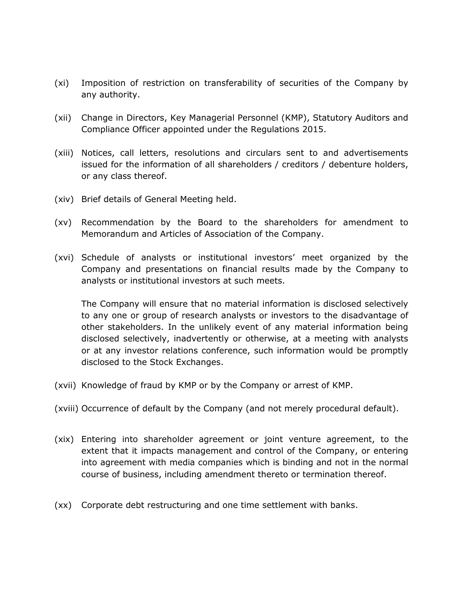- (xi) Imposition of restriction on transferability of securities of the Company by any authority.
- (xii) Change in Directors, Key Managerial Personnel (KMP), Statutory Auditors and Compliance Officer appointed under the Regulations 2015.
- (xiii) Notices, call letters, resolutions and circulars sent to and advertisements issued for the information of all shareholders / creditors / debenture holders, or any class thereof.
- (xiv) Brief details of General Meeting held.
- (xv) Recommendation by the Board to the shareholders for amendment to Memorandum and Articles of Association of the Company.
- (xvi) Schedule of analysts or institutional investors' meet organized by the Company and presentations on financial results made by the Company to analysts or institutional investors at such meets.

The Company will ensure that no material information is disclosed selectively to any one or group of research analysts or investors to the disadvantage of other stakeholders. In the unlikely event of any material information being disclosed selectively, inadvertently or otherwise, at a meeting with analysts or at any investor relations conference, such information would be promptly disclosed to the Stock Exchanges.

- (xvii) Knowledge of fraud by KMP or by the Company or arrest of KMP.
- (xviii) Occurrence of default by the Company (and not merely procedural default).
- (xix) Entering into shareholder agreement or joint venture agreement, to the extent that it impacts management and control of the Company, or entering into agreement with media companies which is binding and not in the normal course of business, including amendment thereto or termination thereof.
- (xx) Corporate debt restructuring and one time settlement with banks.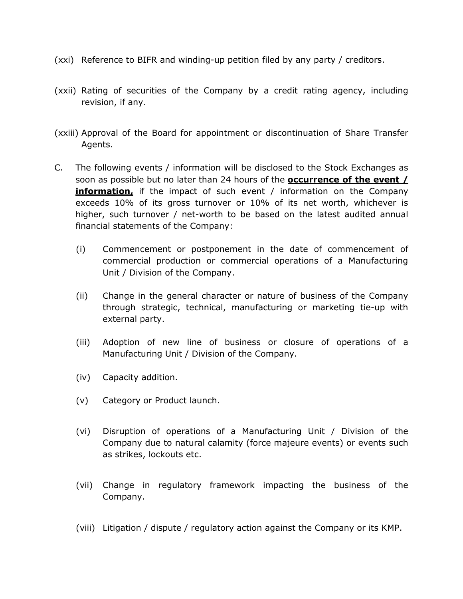- (xxi) Reference to BIFR and winding-up petition filed by any party / creditors.
- (xxii) Rating of securities of the Company by a credit rating agency, including revision, if any.
- (xxiii) Approval of the Board for appointment or discontinuation of Share Transfer Agents.
- C. The following events / information will be disclosed to the Stock Exchanges as soon as possible but no later than 24 hours of the **occurrence of the event / information**, if the impact of such event / information on the Company exceeds 10% of its gross turnover or 10% of its net worth, whichever is higher, such turnover / net-worth to be based on the latest audited annual financial statements of the Company:
	- (i) Commencement or postponement in the date of commencement of commercial production or commercial operations of a Manufacturing Unit / Division of the Company.
	- (ii) Change in the general character or nature of business of the Company through strategic, technical, manufacturing or marketing tie-up with external party.
	- (iii) Adoption of new line of business or closure of operations of a Manufacturing Unit / Division of the Company.
	- (iv) Capacity addition.
	- (v) Category or Product launch.
	- (vi) Disruption of operations of a Manufacturing Unit / Division of the Company due to natural calamity (force majeure events) or events such as strikes, lockouts etc.
	- (vii) Change in regulatory framework impacting the business of the Company.
	- (viii) Litigation / dispute / regulatory action against the Company or its KMP.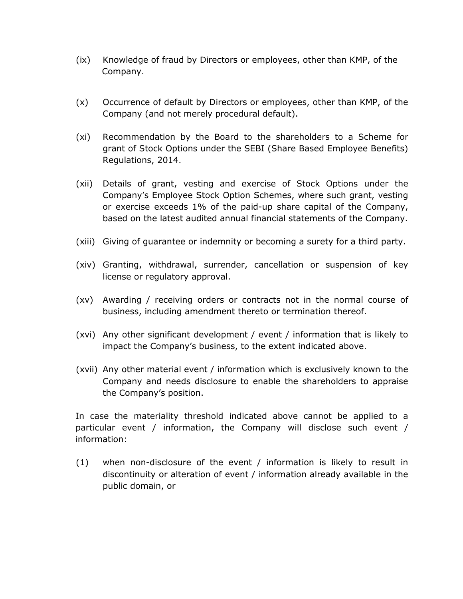- (ix) Knowledge of fraud by Directors or employees, other than KMP, of the Company.
- (x) Occurrence of default by Directors or employees, other than KMP, of the Company (and not merely procedural default).
- (xi) Recommendation by the Board to the shareholders to a Scheme for grant of Stock Options under the SEBI (Share Based Employee Benefits) Regulations, 2014.
- (xii) Details of grant, vesting and exercise of Stock Options under the Company's Employee Stock Option Schemes, where such grant, vesting or exercise exceeds 1% of the paid-up share capital of the Company, based on the latest audited annual financial statements of the Company.
- (xiii) Giving of guarantee or indemnity or becoming a surety for a third party.
- (xiv) Granting, withdrawal, surrender, cancellation or suspension of key license or regulatory approval.
- (xv) Awarding / receiving orders or contracts not in the normal course of business, including amendment thereto or termination thereof.
- (xvi) Any other significant development / event / information that is likely to impact the Company's business, to the extent indicated above.
- (xvii) Any other material event / information which is exclusively known to the Company and needs disclosure to enable the shareholders to appraise the Company's position.

In case the materiality threshold indicated above cannot be applied to a particular event / information, the Company will disclose such event / information:

(1) when non-disclosure of the event / information is likely to result in discontinuity or alteration of event / information already available in the public domain, or